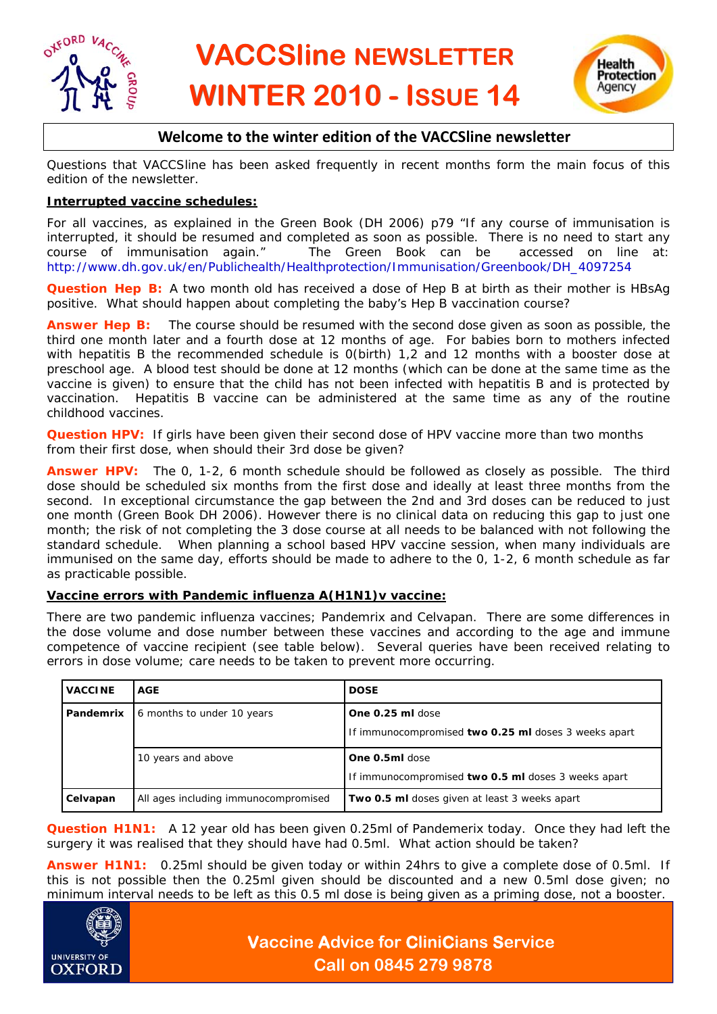



# **Welcome to the winter edition of the VACCSline newsletter**

Questions that VACCSline has been asked frequently in recent months form the main focus of this edition of the newsletter.

#### **Interrupted vaccine schedules:**

For all vaccines, as explained in the Green Book (DH 2006) p79 "If any course of immunisation is interrupted, it should be resumed and completed as soon as possible. There is no need to start any course of immunisation again." The Green Book can be accessed on line at: http://www.dh.gov.uk/en/Publichealth/Healthprotection/Immunisation/Greenbook/DH\_4097254

**Question Hep B:** A two month old has received a dose of Hep B at birth as their mother is HBsAg positive. What should happen about completing the baby's Hep B vaccination course?

**Answer Hep B:** The course should be resumed with the second dose given as soon as possible, the third one month later and a fourth dose at 12 months of age. For babies born to mothers infected with hepatitis B the recommended schedule is 0(birth) 1.2 and 12 months with a booster dose at preschool age. A blood test should be done at 12 months (which can be done at the same time as the vaccine is given) to ensure that the child has not been infected with hepatitis B and is protected by vaccination. Hepatitis B vaccine can be administered at the same time as any of the routine childhood vaccines.

**Question HPV:** If girls have been given their second dose of HPV vaccine more than two months from their first dose, when should their 3rd dose be given?

**Answer HPV:** The 0, 1-2, 6 month schedule should be followed as closely as possible. The third dose should be scheduled six months from the first dose and ideally at least three months from the second. In exceptional circumstance the gap between the 2nd and 3rd doses can be reduced to just one month (Green Book DH 2006). However there is no clinical data on reducing this gap to just one month; the risk of not completing the 3 dose course at all needs to be balanced with not following the standard schedule. When planning a school based HPV vaccine session, when many individuals are immunised on the same day, efforts should be made to adhere to the 0, 1-2, 6 month schedule as far as practicable possible.

#### **Vaccine errors with Pandemic influenza A(H1N1)v vaccine:**

There are two pandemic influenza vaccines; Pandemrix and Celvapan. There are some differences in the dose volume and dose number between these vaccines and according to the age and immune competence of vaccine recipient (see table below). Several queries have been received relating to errors in dose volume; care needs to be taken to prevent more occurring.

| <b>VACCINE</b> | <b>AGE</b>                           | <b>DOSE</b>                                                              |
|----------------|--------------------------------------|--------------------------------------------------------------------------|
| Pandemrix      | 6 months to under 10 years           | One 0.25 ml dose<br>If immunocompromised two 0.25 ml doses 3 weeks apart |
|                | 10 years and above                   | One 0.5ml dose<br>If immunocompromised two 0.5 ml doses 3 weeks apart    |
| Celvapan       | All ages including immunocompromised | Two 0.5 ml doses given at least 3 weeks apart                            |

**Question H1N1:** A 12 year old has been given 0.25ml of Pandemerix today. Once they had left the surgery it was realised that they should have had 0.5ml. What action should be taken?

**Answer H1N1:** 0.25ml should be given today or within 24hrs to give a complete dose of 0.5ml. If this is not possible then the 0.25ml given should be discounted and a new 0.5ml dose given; no minimum interval needs to be left as this 0.5 ml dose is being given as a priming dose, not a booster.



# **Vaccine Advice for CliniCians Service Call on 0845 279 9878**